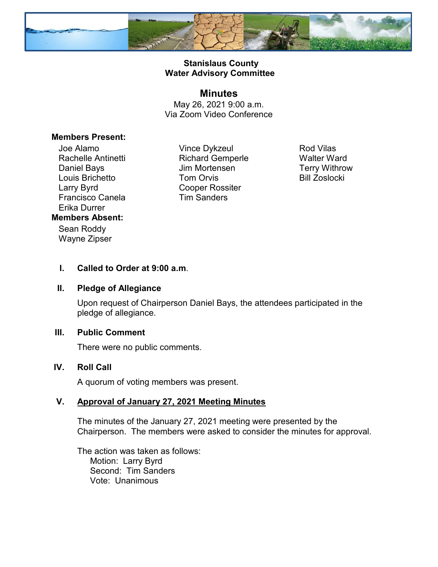

# **Stanislaus County Water Advisory Committee**

### **Minutes**

May 26, 2021 9:00 a.m. Via Zoom Video Conference

## **Members Present:**

Joe Alamo Rachelle Antinetti Daniel Bays Louis Brichetto Larry Byrd Francisco Canela Erika Durrer **Members Absent:** Sean Roddy

Wayne Zipser

Vince Dykzeul Richard Gemperle Jim Mortensen Tom Orvis Cooper Rossiter Tim Sanders

Rod Vilas Walter Ward Terry Withrow Bill Zoslocki

# **I. Called to Order at 9:00 a.m**.

#### **II. Pledge of Allegiance**

Upon request of Chairperson Daniel Bays, the attendees participated in the pledge of allegiance.

### **III. Public Comment**

There were no public comments.

### **IV. Roll Call**

A quorum of voting members was present.

### **V. Approval of January 27, 2021 Meeting Minutes**

The minutes of the January 27, 2021 meeting were presented by the Chairperson. The members were asked to consider the minutes for approval.

The action was taken as follows: Motion: Larry Byrd Second: Tim Sanders Vote: Unanimous